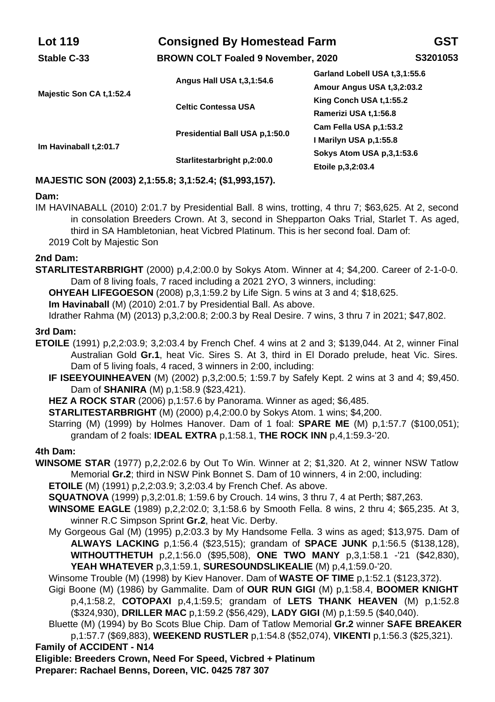| <b>Lot 119</b>           | <b>Consigned By Homestead Farm</b><br><b>BROWN COLT Foaled 9 November, 2020</b> |                               | GST      |
|--------------------------|---------------------------------------------------------------------------------|-------------------------------|----------|
| Stable C-33              |                                                                                 |                               | S3201053 |
| Majestic Son CA t.1:52.4 | Angus Hall USA t, 3, 1:54.6                                                     | Garland Lobell USA t.3.1:55.6 |          |
|                          |                                                                                 | Amour Angus USA t, 3, 2:03.2  |          |
|                          | <b>Celtic Contessa USA</b>                                                      | King Conch USA t.1:55.2       |          |
|                          |                                                                                 | Ramerizi USA t, 1:56.8        |          |
| Im Havinaball t, 2:01.7  | Presidential Ball USA p.1:50.0                                                  | Cam Fella USA p.1:53.2        |          |
|                          |                                                                                 | I Marilyn USA p.1:55.8        |          |
|                          | Starlitestarbright p.2:00.0                                                     | Sokys Atom USA p.3.1:53.6     |          |
|                          |                                                                                 | Etoile p, 3, 2:03.4           |          |

# **MAJESTIC SON (2003) 2,1:55.8; 3,1:52.4; (\$1,993,157).**

#### **Dam:**

IM HAVINABALL (2010) 2:01.7 by Presidential Ball. 8 wins, trotting, 4 thru 7; \$63,625. At 2, second in consolation Breeders Crown. At 3, second in Shepparton Oaks Trial, Starlet T. As aged, third in SA Hambletonian, heat Vicbred Platinum. This is her second foal. Dam of: 2019 Colt by Majestic Son

#### **2nd Dam:**

**STARLITESTARBRIGHT** (2000) p,4,2:00.0 by Sokys Atom. Winner at 4; \$4,200. Career of 2-1-0-0. Dam of 8 living foals, 7 raced including a 2021 2YO, 3 winners, including:

**OHYEAH LIFEGOESON** (2008) p,3,1:59.2 by Life Sign. 5 wins at 3 and 4; \$18,625.

**Im Havinaball** (M) (2010) 2:01.7 by Presidential Ball. As above.

Idrather Rahma (M) (2013) p,3,2:00.8; 2:00.3 by Real Desire. 7 wins, 3 thru 7 in 2021; \$47,802.

#### **3rd Dam:**

- **ETOILE** (1991) p,2,2:03.9; 3,2:03.4 by French Chef. 4 wins at 2 and 3; \$139,044. At 2, winner Final Australian Gold **Gr.1**, heat Vic. Sires S. At 3, third in El Dorado prelude, heat Vic. Sires. Dam of 5 living foals, 4 raced, 3 winners in 2:00, including:
	- **IF ISEEYOUINHEAVEN** (M) (2002) p,3,2:00.5; 1:59.7 by Safely Kept. 2 wins at 3 and 4; \$9,450. Dam of **SHANIRA** (M) p,1:58.9 (\$23,421).
	- **HEZ A ROCK STAR** (2006) p,1:57.6 by Panorama. Winner as aged; \$6,485.

**STARLITESTARBRIGHT** (M) (2000) p,4,2:00.0 by Sokys Atom. 1 wins; \$4,200.

Starring (M) (1999) by Holmes Hanover. Dam of 1 foal: **SPARE ME** (M) p,1:57.7 (\$100,051); grandam of 2 foals: **IDEAL EXTRA** p,1:58.1, **THE ROCK INN** p,4,1:59.3-'20.

#### **4th Dam:**

**WINSOME STAR** (1977) p,2,2:02.6 by Out To Win. Winner at 2; \$1,320. At 2, winner NSW Tatlow Memorial **Gr.2**; third in NSW Pink Bonnet S. Dam of 10 winners, 4 in 2:00, including:

**ETOILE** (M) (1991) p,2,2:03.9; 3,2:03.4 by French Chef. As above.

- **SQUATNOVA** (1999) p,3,2:01.8; 1:59.6 by Crouch. 14 wins, 3 thru 7, 4 at Perth; \$87,263.
- **WINSOME EAGLE** (1989) p,2,2:02.0; 3,1:58.6 by Smooth Fella. 8 wins, 2 thru 4; \$65,235. At 3, winner R.C Simpson Sprint **Gr.2**, heat Vic. Derby.
- My Gorgeous Gal (M) (1995) p,2:03.3 by My Handsome Fella. 3 wins as aged; \$13,975. Dam of **ALWAYS LACKING** p,1:56.4 (\$23,515); grandam of **SPACE JUNK** p,1:56.5 (\$138,128), **WITHOUTTHETUH** p,2,1:56.0 (\$95,508), **ONE TWO MANY** p,3,1:58.1 -'21 (\$42,830), **YEAH WHATEVER** p,3,1:59.1, **SURESOUNDSLIKEALIE** (M) p,4,1:59.0-'20.
- Winsome Trouble (M) (1998) by Kiev Hanover. Dam of **WASTE OF TIME** p,1:52.1 (\$123,372).
- Gigi Boone (M) (1986) by Gammalite. Dam of **OUR RUN GIGI** (M) p,1:58.4, **BOOMER KNIGHT** p,4,1:58.2, **COTOPAXI** p,4,1:59.5; grandam of **LETS THANK HEAVEN** (M) p,1:52.8 (\$324,930), **DRILLER MAC** p,1:59.2 (\$56,429), **LADY GIGI** (M) p,1:59.5 (\$40,040).
- Bluette (M) (1994) by Bo Scots Blue Chip. Dam of Tatlow Memorial **Gr.2** winner **SAFE BREAKER** p,1:57.7 (\$69,883), **WEEKEND RUSTLER** p,1:54.8 (\$52,074), **VIKENTI** p,1:56.3 (\$25,321).

**Family of ACCIDENT - N14**

**Eligible: Breeders Crown, Need For Speed, Vicbred + Platinum**

**Preparer: Rachael Benns, Doreen, VIC. 0425 787 307**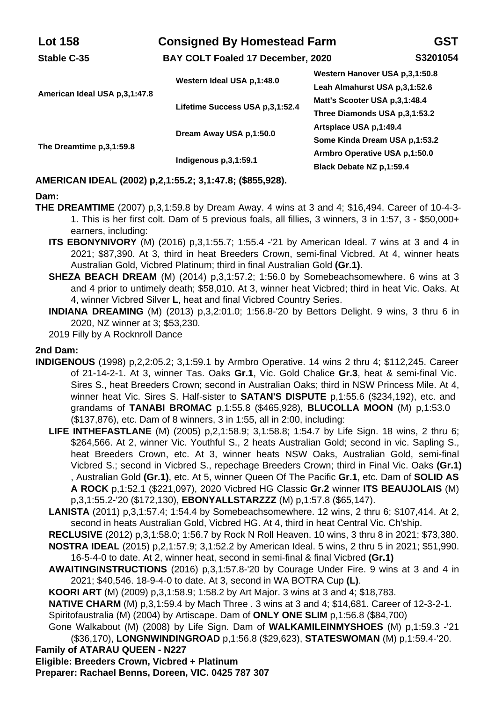| <b>Lot 158</b>                | <b>Consigned By Homestead Farm</b><br>BAY COLT Foaled 17 December, 2020 |                                                                 | GST      |
|-------------------------------|-------------------------------------------------------------------------|-----------------------------------------------------------------|----------|
| Stable C-35                   |                                                                         |                                                                 | S3201054 |
| American Ideal USA p.3.1:47.8 | Western Ideal USA p.1:48.0                                              | Western Hanover USA p.3.1:50.8<br>Leah Almahurst USA p.3,1:52.6 |          |
|                               | Lifetime Success USA p.3.1:52.4                                         | Matt's Scooter USA p.3.1:48.4<br>Three Diamonds USA p.3,1:53.2  |          |
| The Dreamtime p.3,1:59.8      | Dream Away USA p,1:50.0                                                 | Artsplace USA p,1:49.4<br>Some Kinda Dream USA p.1:53.2         |          |
|                               | Indigenous p.3,1:59.1                                                   | Armbro Operative USA p.1:50.0<br>Black Debate NZ p,1:59.4       |          |

# **AMERICAN IDEAL (2002) p,2,1:55.2; 3,1:47.8; (\$855,928).**

#### **Dam:**

- **THE DREAMTIME** (2007) p,3,1:59.8 by Dream Away. 4 wins at 3 and 4; \$16,494. Career of 10-4-3- 1. This is her first colt. Dam of 5 previous foals, all fillies, 3 winners, 3 in 1:57, 3 - \$50,000+ earners, including:
	- **ITS EBONYNIVORY** (M) (2016) p,3,1:55.7; 1:55.4 -'21 by American Ideal. 7 wins at 3 and 4 in 2021; \$87,390. At 3, third in heat Breeders Crown, semi-final Vicbred. At 4, winner heats Australian Gold, Vicbred Platinum; third in final Australian Gold **(Gr.1)**.
	- **SHEZA BEACH DREAM** (M) (2014) p,3,1:57.2; 1:56.0 by Somebeachsomewhere. 6 wins at 3 and 4 prior to untimely death; \$58,010. At 3, winner heat Vicbred; third in heat Vic. Oaks. At 4, winner Vicbred Silver **L**, heat and final Vicbred Country Series.
	- **INDIANA DREAMING** (M) (2013) p,3,2:01.0; 1:56.8-'20 by Bettors Delight. 9 wins, 3 thru 6 in 2020, NZ winner at 3; \$53,230.

2019 Filly by A Rocknroll Dance

#### **2nd Dam:**

- **INDIGENOUS** (1998) p,2,2:05.2; 3,1:59.1 by Armbro Operative. 14 wins 2 thru 4; \$112,245. Career of 21-14-2-1. At 3, winner Tas. Oaks **Gr.1**, Vic. Gold Chalice **Gr.3**, heat & semi-final Vic. Sires S., heat Breeders Crown; second in Australian Oaks; third in NSW Princess Mile. At 4, winner heat Vic. Sires S. Half-sister to **SATAN'S DISPUTE** p,1:55.6 (\$234,192), etc. and grandams of **TANABI BROMAC** p,1:55.8 (\$465,928), **BLUCOLLA MOON** (M) p,1:53.0 (\$137,876), etc. Dam of 8 winners, 3 in 1:55, all in 2:00, including:
	- **LIFE INTHEFASTLANE** (M) (2005) p,2,1:58.9; 3,1:58.8; 1:54.7 by Life Sign. 18 wins, 2 thru 6; \$264,566. At 2, winner Vic. Youthful S., 2 heats Australian Gold; second in vic. Sapling S., heat Breeders Crown, etc. At 3, winner heats NSW Oaks, Australian Gold, semi-final Vicbred S.; second in Vicbred S., repechage Breeders Crown; third in Final Vic. Oaks **(Gr.1)** , Australian Gold **(Gr.1)**, etc. At 5, winner Queen Of The Pacific **Gr.1**, etc. Dam of **SOLID AS A ROCK** p,1:52.1 (\$221,097), 2020 Vicbred HG Classic **Gr.2** winner **ITS BEAUJOLAIS** (M) p,3,1:55.2-'20 (\$172,130), **EBONYALLSTARZZZ** (M) p,1:57.8 (\$65,147).
	- **LANISTA** (2011) p,3,1:57.4; 1:54.4 by Somebeachsomewhere. 12 wins, 2 thru 6; \$107,414. At 2, second in heats Australian Gold, Vicbred HG. At 4, third in heat Central Vic. Ch'ship.

**RECLUSIVE** (2012) p,3,1:58.0; 1:56.7 by Rock N Roll Heaven. 10 wins, 3 thru 8 in 2021; \$73,380.

- **NOSTRA IDEAL** (2015) p,2,1:57.9; 3,1:52.2 by American Ideal. 5 wins, 2 thru 5 in 2021; \$51,990. 16-5-4-0 to date. At 2, winner heat, second in semi-final & final Vicbred **(Gr.1)**
- **AWAITINGINSTRUCTIONS** (2016) p,3,1:57.8-'20 by Courage Under Fire. 9 wins at 3 and 4 in 2021; \$40,546. 18-9-4-0 to date. At 3, second in WA BOTRA Cup **(L)**.
- **KOORI ART** (M) (2009) p,3,1:58.9; 1:58.2 by Art Major. 3 wins at 3 and 4; \$18,783.
- **NATIVE CHARM** (M) p, 3, 1:59.4 by Mach Three . 3 wins at 3 and 4; \$14, 681. Career of 12-3-2-1. Spiritofaustralia (M) (2004) by Artiscape. Dam of **ONLY ONE SLIM** p,1:56.8 (\$84,700)
- 
- Gone Walkabout (M) (2008) by Life Sign. Dam of **WALKAMILEINMYSHOES** (M) p,1:59.3 -'21 (\$36,170), **LONGNWINDINGROAD** p,1:56.8 (\$29,623), **STATESWOMAN** (M) p,1:59.4-'20. **Family of ATARAU QUEEN - N227**
- **Eligible: Breeders Crown, Vicbred + Platinum**
- **Preparer: Rachael Benns, Doreen, VIC. 0425 787 307**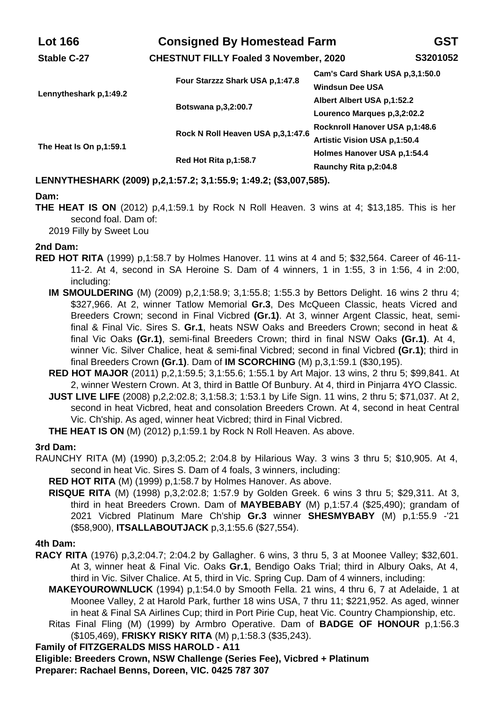| <b>Lot 166</b>          | <b>Consigned By Homestead Farm</b><br><b>CHESTNUT FILLY Foaled 3 November, 2020</b> |                                                           | GST      |
|-------------------------|-------------------------------------------------------------------------------------|-----------------------------------------------------------|----------|
| Stable C-27             |                                                                                     |                                                           | S3201052 |
| Lennytheshark p,1:49.2  | Four Starzzz Shark USA p.1:47.8                                                     | Cam's Card Shark USA p.3.1:50.0<br><b>Windsun Dee USA</b> |          |
|                         | Botswana p, 3, 2:00.7                                                               | Albert Albert USA p.1:52.2                                |          |
|                         |                                                                                     | Lourenco Marques p, 3, 2:02.2                             |          |
| The Heat Is On p.1:59.1 | Rock N Roll Heaven USA p, 3, 1:47.6                                                 | Rocknroll Hanover USA p.1:48.6                            |          |
|                         |                                                                                     | Artistic Vision USA p.1:50.4                              |          |
|                         | Red Hot Rita p.1:58.7                                                               | Holmes Hanover USA p.1:54.4                               |          |
|                         |                                                                                     | Raunchy Rita p, 2:04.8                                    |          |

# **LENNYTHESHARK (2009) p,2,1:57.2; 3,1:55.9; 1:49.2; (\$3,007,585).**

#### **Dam:**

**THE HEAT IS ON** (2012) p,4,1:59.1 by Rock N Roll Heaven. 3 wins at 4; \$13,185. This is her second foal. Dam of:

2019 Filly by Sweet Lou

## **2nd Dam:**

- **RED HOT RITA** (1999) p,1:58.7 by Holmes Hanover. 11 wins at 4 and 5; \$32,564. Career of 46-11- 11-2. At 4, second in SA Heroine S. Dam of 4 winners, 1 in 1:55, 3 in 1:56, 4 in 2:00, including:
	- **IM SMOULDERING** (M) (2009) p,2,1:58.9; 3,1:55.8; 1:55.3 by Bettors Delight. 16 wins 2 thru 4; \$327,966. At 2, winner Tatlow Memorial **Gr.3**, Des McQueen Classic, heats Vicred and Breeders Crown; second in Final Vicbred **(Gr.1)**. At 3, winner Argent Classic, heat, semifinal & Final Vic. Sires S. **Gr.1**, heats NSW Oaks and Breeders Crown; second in heat & final Vic Oaks **(Gr.1)**, semi-final Breeders Crown; third in final NSW Oaks **(Gr.1)**. At 4, winner Vic. Silver Chalice, heat & semi-final Vicbred; second in final Vicbred **(Gr.1)**; third in final Breeders Crown **(Gr.1)**. Dam of **IM SCORCHING** (M) p,3,1:59.1 (\$30,195).
	- **RED HOT MAJOR** (2011) p,2,1:59.5; 3,1:55.6; 1:55.1 by Art Major. 13 wins, 2 thru 5; \$99,841. At 2, winner Western Crown. At 3, third in Battle Of Bunbury. At 4, third in Pinjarra 4YO Classic.
	- **JUST LIVE LIFE** (2008) p,2,2:02.8; 3,1:58.3; 1:53.1 by Life Sign. 11 wins, 2 thru 5; \$71,037. At 2, second in heat Vicbred, heat and consolation Breeders Crown. At 4, second in heat Central Vic. Ch'ship. As aged, winner heat Vicbred; third in Final Vicbred.

**THE HEAT IS ON** (M) (2012) p,1:59.1 by Rock N Roll Heaven. As above.

#### **3rd Dam:**

- RAUNCHY RITA (M) (1990) p,3,2:05.2; 2:04.8 by Hilarious Way. 3 wins 3 thru 5; \$10,905. At 4, second in heat Vic. Sires S. Dam of 4 foals, 3 winners, including:
	- **RED HOT RITA** (M) (1999) p,1:58.7 by Holmes Hanover. As above.
	- **RISQUE RITA** (M) (1998) p,3,2:02.8; 1:57.9 by Golden Greek. 6 wins 3 thru 5; \$29,311. At 3, third in heat Breeders Crown. Dam of **MAYBEBABY** (M) p,1:57.4 (\$25,490); grandam of 2021 Vicbred Platinum Mare Ch'ship **Gr.3** winner **SHESMYBABY** (M) p,1:55.9 -'21 (\$58,900), **ITSALLABOUTJACK** p,3,1:55.6 (\$27,554).

#### **4th Dam:**

- **RACY RITA** (1976) p,3,2:04.7; 2:04.2 by Gallagher. 6 wins, 3 thru 5, 3 at Moonee Valley; \$32,601. At 3, winner heat & Final Vic. Oaks **Gr.1**, Bendigo Oaks Trial; third in Albury Oaks, At 4, third in Vic. Silver Chalice. At 5, third in Vic. Spring Cup. Dam of 4 winners, including:
	- **MAKEYOUROWNLUCK** (1994) p,1:54.0 by Smooth Fella. 21 wins, 4 thru 6, 7 at Adelaide, 1 at Moonee Valley, 2 at Harold Park, further 18 wins USA, 7 thru 11; \$221,952. As aged, winner in heat & Final SA Airlines Cup; third in Port Pirie Cup, heat Vic. Country Championship, etc. Ritas Final Fling (M) (1999) by Armbro Operative. Dam of **BADGE OF HONOUR** p,1:56.3
	- (\$105,469), **FRISKY RISKY RITA** (M) p,1:58.3 (\$35,243).

**Family of FITZGERALDS MISS HAROLD - A11**

**Eligible: Breeders Crown, NSW Challenge (Series Fee), Vicbred + Platinum Preparer: Rachael Benns, Doreen, VIC. 0425 787 307**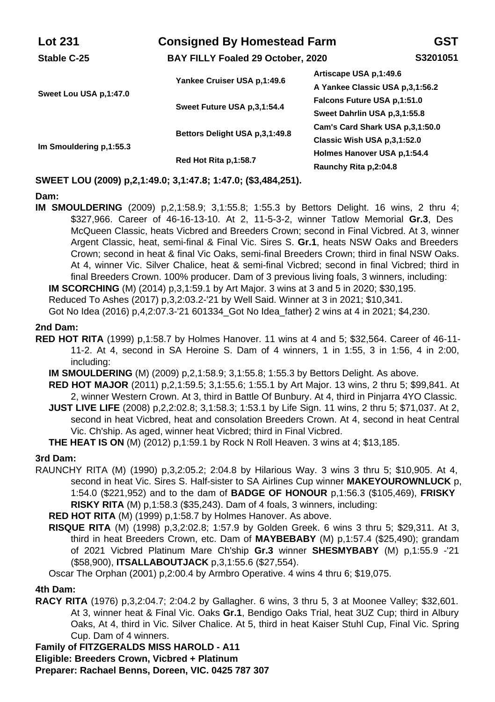| <b>Lot 231</b>          | <b>Consigned By Homestead Farm</b><br>BAY FILLY Foaled 29 October, 2020 |                                                                | GST      |
|-------------------------|-------------------------------------------------------------------------|----------------------------------------------------------------|----------|
| Stable C-25             |                                                                         |                                                                | S3201051 |
| Sweet Lou USA p.1:47.0  | Yankee Cruiser USA p.1:49.6                                             | Artiscape USA p.1:49.6<br>A Yankee Classic USA p.3,1:56.2      |          |
|                         | Sweet Future USA p.3.1:54.4                                             | Falcons Future USA p.1:51.0<br>Sweet Dahrlin USA p.3.1:55.8    |          |
| Im Smouldering p.1:55.3 | Bettors Delight USA p.3.1:49.8                                          | Cam's Card Shark USA p.3.1:50.0<br>Classic Wish USA p.3,1:52.0 |          |
|                         | Red Hot Rita p,1:58.7                                                   | Holmes Hanover USA p.1:54.4<br>Raunchy Rita p.2:04.8           |          |

# **SWEET LOU (2009) p,2,1:49.0; 3,1:47.8; 1:47.0; (\$3,484,251).**

#### **Dam:**

**IM SMOULDERING** (2009) p,2,1:58.9; 3,1:55.8; 1:55.3 by Bettors Delight. 16 wins, 2 thru 4; \$327,966. Career of 46-16-13-10. At 2, 11-5-3-2, winner Tatlow Memorial **Gr.3**, Des McQueen Classic, heats Vicbred and Breeders Crown; second in Final Vicbred. At 3, winner Argent Classic, heat, semi-final & Final Vic. Sires S. **Gr.1**, heats NSW Oaks and Breeders Crown; second in heat & final Vic Oaks, semi-final Breeders Crown; third in final NSW Oaks. At 4, winner Vic. Silver Chalice, heat & semi-final Vicbred; second in final Vicbred; third in final Breeders Crown. 100% producer. Dam of 3 previous living foals, 3 winners, including: **IM SCORCHING** (M) (2014) p,3,1:59.1 by Art Major. 3 wins at 3 and 5 in 2020; \$30,195.

Reduced To Ashes (2017) p,3,2:03.2-'21 by Well Said. Winner at 3 in 2021; \$10,341. Got No Idea (2016) p,4,2:07.3-'21 601334\_Got No Idea\_father} 2 wins at 4 in 2021; \$4,230.

## **2nd Dam:**

- **RED HOT RITA** (1999) p,1:58.7 by Holmes Hanover. 11 wins at 4 and 5; \$32,564. Career of 46-11- 11-2. At 4, second in SA Heroine S. Dam of 4 winners, 1 in 1:55, 3 in 1:56, 4 in 2:00, including:
	- **IM SMOULDERING** (M) (2009) p,2,1:58.9; 3,1:55.8; 1:55.3 by Bettors Delight. As above.
	- **RED HOT MAJOR** (2011) p,2,1:59.5; 3,1:55.6; 1:55.1 by Art Major. 13 wins, 2 thru 5; \$99,841. At 2, winner Western Crown. At 3, third in Battle Of Bunbury. At 4, third in Pinjarra 4YO Classic.
	- **JUST LIVE LIFE** (2008) p,2,2:02.8; 3,1:58.3; 1:53.1 by Life Sign. 11 wins, 2 thru 5; \$71,037. At 2, second in heat Vicbred, heat and consolation Breeders Crown. At 4, second in heat Central Vic. Ch'ship. As aged, winner heat Vicbred; third in Final Vicbred.

**THE HEAT IS ON** (M) (2012) p,1:59.1 by Rock N Roll Heaven. 3 wins at 4; \$13,185.

#### **3rd Dam:**

RAUNCHY RITA (M) (1990) p,3,2:05.2; 2:04.8 by Hilarious Way. 3 wins 3 thru 5; \$10,905. At 4, second in heat Vic. Sires S. Half-sister to SA Airlines Cup winner **MAKEYOUROWNLUCK** p, 1:54.0 (\$221,952) and to the dam of **BADGE OF HONOUR** p,1:56.3 (\$105,469), **FRISKY RISKY RITA** (M) p,1:58.3 (\$35,243). Dam of 4 foals, 3 winners, including:

**RED HOT RITA** (M) (1999) p,1:58.7 by Holmes Hanover. As above.

**RISQUE RITA** (M) (1998) p,3,2:02.8; 1:57.9 by Golden Greek. 6 wins 3 thru 5; \$29,311. At 3, third in heat Breeders Crown, etc. Dam of **MAYBEBABY** (M) p,1:57.4 (\$25,490); grandam of 2021 Vicbred Platinum Mare Ch'ship **Gr.3** winner **SHESMYBABY** (M) p,1:55.9 -'21 (\$58,900), **ITSALLABOUTJACK** p,3,1:55.6 (\$27,554).

Oscar The Orphan (2001) p,2:00.4 by Armbro Operative. 4 wins 4 thru 6; \$19,075.

### **4th Dam:**

**RACY RITA** (1976) p,3,2:04.7; 2:04.2 by Gallagher. 6 wins, 3 thru 5, 3 at Moonee Valley; \$32,601. At 3, winner heat & Final Vic. Oaks **Gr.1**, Bendigo Oaks Trial, heat 3UZ Cup; third in Albury Oaks, At 4, third in Vic. Silver Chalice. At 5, third in heat Kaiser Stuhl Cup, Final Vic. Spring Cup. Dam of 4 winners.

**Family of FITZGERALDS MISS HAROLD - A11**

**Eligible: Breeders Crown, Vicbred + Platinum**

**Preparer: Rachael Benns, Doreen, VIC. 0425 787 307**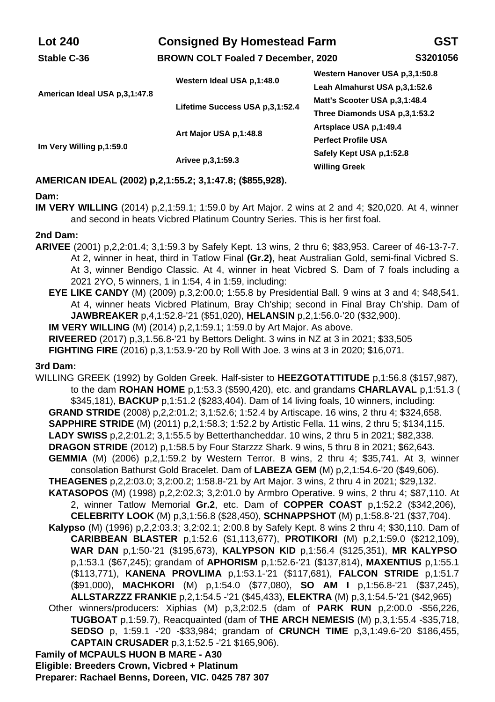| <b>Lot 240</b>                  | <b>Consigned By Homestead Farm</b><br><b>BROWN COLT Foaled 7 December, 2020</b> |                                                                                                                                   | GST      |
|---------------------------------|---------------------------------------------------------------------------------|-----------------------------------------------------------------------------------------------------------------------------------|----------|
| Stable C-36                     |                                                                                 |                                                                                                                                   | S3201056 |
| American Ideal USA p, 3, 1:47.8 | Western Ideal USA p.1:48.0<br>Lifetime Success USA p.3.1:52.4                   | Western Hanover USA p.3.1:50.8<br>Leah Almahurst USA p.3,1:52.6<br>Matt's Scooter USA p.3.1:48.4<br>Three Diamonds USA p,3,1:53.2 |          |
| Im Very Willing p.1:59.0        | Art Major USA p.1:48.8                                                          | Artsplace USA p.1:49.4<br><b>Perfect Profile USA</b>                                                                              |          |
|                                 | Arivee p.3,1:59.3                                                               | Safely Kept USA p,1:52.8<br><b>Willing Greek</b>                                                                                  |          |

# **AMERICAN IDEAL (2002) p,2,1:55.2; 3,1:47.8; (\$855,928).**

#### **Dam:**

**IM VERY WILLING** (2014) p,2,1:59.1; 1:59.0 by Art Major. 2 wins at 2 and 4; \$20,020. At 4, winner and second in heats Vicbred Platinum Country Series. This is her first foal.

## **2nd Dam:**

- **ARIVEE** (2001) p,2,2:01.4; 3,1:59.3 by Safely Kept. 13 wins, 2 thru 6; \$83,953. Career of 46-13-7-7. At 2, winner in heat, third in Tatlow Final **(Gr.2)**, heat Australian Gold, semi-final Vicbred S. At 3, winner Bendigo Classic. At 4, winner in heat Vicbred S. Dam of 7 foals including a 2021 2YO, 5 winners, 1 in 1:54, 4 in 1:59, including:
	- **EYE LIKE CANDY** (M) (2009) p,3,2:00.0; 1:55.8 by Presidential Ball. 9 wins at 3 and 4; \$48,541. At 4, winner heats Vicbred Platinum, Bray Ch'ship; second in Final Bray Ch'ship. Dam of **JAWBREAKER** p,4,1:52.8-'21 (\$51,020), **HELANSIN** p,2,1:56.0-'20 (\$32,900).

**IM VERY WILLING** (M) (2014) p,2,1:59.1; 1:59.0 by Art Major. As above.

**RIVEERED** (2017) p,3,1.56.8-'21 by Bettors Delight. 3 wins in NZ at 3 in 2021; \$33,505

**FIGHTING FIRE** (2016) p,3,1:53.9-'20 by Roll With Joe. 3 wins at 3 in 2020; \$16,071.

# **3rd Dam:**

WILLING GREEK (1992) by Golden Greek. Half-sister to **HEEZGOTATTITUDE** p,1:56.8 (\$157,987), to the dam **ROHAN HOME** p,1:53.3 (\$590,420), etc. and grandams **CHARLAVAL** p,1:51.3 ( \$345,181), **BACKUP** p,1:51.2 (\$283,404). Dam of 14 living foals, 10 winners, including: **GRAND STRIDE** (2008) p,2,2:01.2; 3,1:52.6; 1:52.4 by Artiscape. 16 wins, 2 thru 4; \$324,658. **SAPPHIRE STRIDE** (M) (2011) p,2,1:58.3; 1:52.2 by Artistic Fella. 11 wins, 2 thru 5; \$134,115. **LADY SWISS** p,2,2:01.2; 3,1:55.5 by Betterthancheddar. 10 wins, 2 thru 5 in 2021; \$82,338. **DRAGON STRIDE** (2012) p,1:58.5 by Four Starzzz Shark. 9 wins, 5 thru 8 in 2021; \$62,643. **GEMMIA** (M) (2006) p,2,1:59.2 by Western Terror. 8 wins, 2 thru 4; \$35,741. At 3, winner consolation Bathurst Gold Bracelet. Dam of **LABEZA GEM** (M) p,2,1:54.6-'20 (\$49,606). **THEAGENES** p,2,2:03.0; 3,2:00.2; 1:58.8-'21 by Art Major. 3 wins, 2 thru 4 in 2021; \$29,132. **KATASOPOS** (M) (1998) p,2,2:02.3; 3,2:01.0 by Armbro Operative. 9 wins, 2 thru 4; \$87,110. At 2, winner Tatlow Memorial **Gr.2**, etc. Dam of **COPPER COAST** p,1:52.2 (\$342,206), **CELEBRITY LOOK** (M) p,3,1:56.8 (\$28,450), **SCHNAPPSHOT** (M) p,1:58.8-'21 (\$37,704). **Kalypso** (M) (1996) p,2,2:03.3; 3,2:02.1; 2:00.8 by Safely Kept. 8 wins 2 thru 4; \$30,110. Dam of **CARIBBEAN BLASTER** p,1:52.6 (\$1,113,677), **PROTIKORI** (M) p,2,1:59.0 (\$212,109), **WAR DAN** p,1:50-'21 (\$195,673), **KALYPSON KID** p,1:56.4 (\$125,351), **MR KALYPSO** p,1:53.1 (\$67,245); grandam of **APHORISM** p,1:52.6-'21 (\$137,814), **MAXENTIUS** p,1:55.1 (\$113,771), **KANENA PROVLIMA** p,1:53.1-'21 (\$117,681), **FALCON STRIDE** p,1:51.7 (\$91,000), **MACHKORI** (M) p,1:54.0 (\$77,080), **SO AM I** p,1:56.8-'21 (\$37,245), **ALLSTARZZZ FRANKIE** p,2,1:54.5 -'21 (\$45,433), **ELEKTRA** (M) p,3,1:54.5-'21 (\$42,965) Other winners/producers: Xiphias (M) p,3,2:02.5 (dam of **PARK RUN** p,2:00.0 -\$56,226, **TUGBOAT** p,1:59.7), Reacquainted (dam of **THE ARCH NEMESIS** (M) p,3,1:55.4 -\$35,718, **SEDSO** p, 1:59.1 -'20 -\$33,984; grandam of **CRUNCH TIME** p,3,1:49.6-'20 \$186,455, **CAPTAIN CRUSADER** p,3,1:52.5 -'21 \$165,906). **Family of MCPAULS HUON B MARE - A30 Eligible: Breeders Crown, Vicbred + Platinum**

**Preparer: Rachael Benns, Doreen, VIC. 0425 787 307**